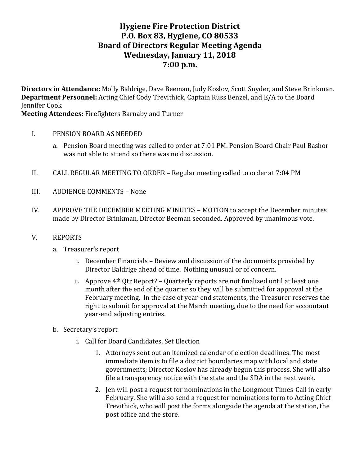# **Hygiene Fire Protection District P.O. Box 83, Hygiene, CO 80533 Board of Directors Regular Meeting Agenda Wednesday, January 11, 2018 7:00 p.m.**

**Directors in Attendance:** Molly Baldrige, Dave Beeman, Judy Koslov, Scott Snyder, and Steve Brinkman. **Department Personnel:** Acting Chief Cody Trevithick, Captain Russ Benzel, and E/A to the Board **Jennifer Cook** 

**Meeting Attendees: Firefighters Barnaby and Turner** 

- I. PENSION BOARD AS NEEDED
	- a. Pension Board meeting was called to order at 7:01 PM. Pension Board Chair Paul Bashor was not able to attend so there was no discussion.
- II. CALL REGULAR MEETING TO ORDER Regular meeting called to order at 7:04 PM
- III. AUDIENCE COMMENTS None
- IV. APPROVE THE DECEMBER MEETING MINUTES MOTION to accept the December minutes made by Director Brinkman, Director Beeman seconded. Approved by unanimous vote.
- V. REPORTS
	- a. Treasurer's report
		- i. December Financials Review and discussion of the documents provided by Director Baldrige ahead of time. Nothing unusual or of concern.
		- ii. Approve  $4<sup>th</sup>$  Qtr Report? Quarterly reports are not finalized until at least one month after the end of the quarter so they will be submitted for approval at the February meeting. In the case of year-end statements, the Treasurer reserves the right to submit for approval at the March meeting, due to the need for accountant year-end adjusting entries.
	- b. Secretary's report
		- i. Call for Board Candidates, Set Election
			- 1. Attorneys sent out an itemized calendar of election deadlines. The most immediate item is to file a district boundaries map with local and state governments; Director Koslov has already begun this process. She will also file a transparency notice with the state and the SDA in the next week.
			- 2. Jen will post a request for nominations in the Longmont Times-Call in early February. She will also send a request for nominations form to Acting Chief Trevithick, who will post the forms alongside the agenda at the station, the post office and the store.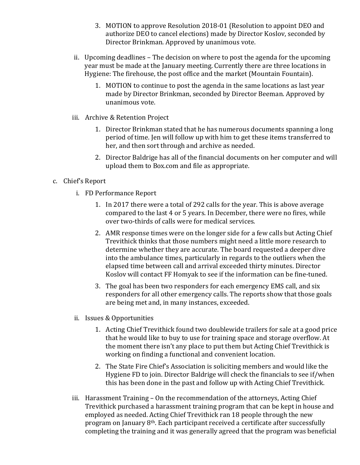- 3. MOTION to approve Resolution 2018-01 (Resolution to appoint DEO and authorize DEO to cancel elections) made by Director Koslov, seconded by Director Brinkman. Approved by unanimous vote.
- ii. Upcoming deadlines The decision on where to post the agenda for the upcoming year must be made at the January meeting. Currently there are three locations in Hygiene: The firehouse, the post office and the market (Mountain Fountain).
	- 1. MOTION to continue to post the agenda in the same locations as last year made by Director Brinkman, seconded by Director Beeman. Approved by unanimous vote.
- iii. Archive & Retention Project
	- 1. Director Brinkman stated that he has numerous documents spanning a long period of time. Jen will follow up with him to get these items transferred to her, and then sort through and archive as needed.
	- 2. Director Baldrige has all of the financial documents on her computer and will upload them to Box.com and file as appropriate.

#### c. Chief's Report

- i. FD Performance Report
	- 1. In 2017 there were a total of 292 calls for the year. This is above average compared to the last 4 or 5 years. In December, there were no fires, while over two-thirds of calls were for medical services.
	- 2. AMR response times were on the longer side for a few calls but Acting Chief Trevithick thinks that those numbers might need a little more research to determine whether they are accurate. The board requested a deeper dive into the ambulance times, particularly in regards to the outliers when the elapsed time between call and arrival exceeded thirty minutes. Director Koslov will contact FF Homyak to see if the information can be fine-tuned.
	- 3. The goal has been two responders for each emergency EMS call, and six responders for all other emergency calls. The reports show that those goals are being met and, in many instances, exceeded.
- ii. Issues & Opportunities
	- 1. Acting Chief Trevithick found two doublewide trailers for sale at a good price that he would like to buy to use for training space and storage overflow. At the moment there isn't any place to put them but Acting Chief Trevithick is working on finding a functional and convenient location.
	- 2. The State Fire Chief's Association is soliciting members and would like the Hygiene FD to join. Director Baldrige will check the financials to see if/when this has been done in the past and follow up with Acting Chief Trevithick.
- iii. Harassment  $Training On$  the recommendation of the attorneys, Acting Chief Trevithick purchased a harassment training program that can be kept in house and employed as needed. Acting Chief Trevithick ran 18 people through the new program on January 8<sup>th</sup>. Each participant received a certificate after successfully completing the training and it was generally agreed that the program was beneficial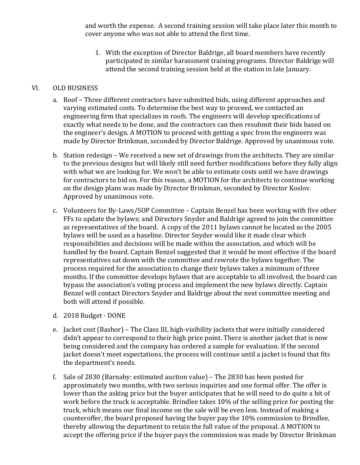and worth the expense. A second training session will take place later this month to cover anyone who was not able to attend the first time.

1. With the exception of Director Baldrige, all board members have recently participated in similar harassment training programs. Director Baldrige will attend the second training session held at the station in late January.

#### VI. OLD BUSINESS

- a. Roof Three different contractors have submitted bids, using different approaches and varying estimated costs. To determine the best way to proceed, we contacted an engineering firm that specializes in roofs. The engineers will develop specifications of exactly what needs to be done, and the contractors can then resubmit their bids based on the engineer's design. A MOTION to proceed with getting a spec from the engineers was made by Director Brinkman, seconded by Director Baldrige. Approved by unanimous vote.
- b. Station redesign We received a new set of drawings from the architects. They are similar to the previous designs but will likely still need further modifications before they fully align with what we are looking for. We won't be able to estimate costs until we have drawings for contractors to bid on. For this reason, a MOTION for the architects to continue working on the design plans was made by Director Brinkman, seconded by Director Koslov. Approved by unanimous vote.
- c. Volunteers for By-Laws/SOP Committee Captain Benzel has been working with five other FFs to update the bylaws; and Directors Snyder and Baldrige agreed to join the committee as representatives of the board. A copy of the 2011 bylaws cannot be located so the 2005 bylaws will be used as a baseline. Director Snyder would like it made clear which responsibilities and decisions will be made within the association, and which will be handled by the board. Captain Benzel suggested that it would be most effective if the board representatives sat down with the committee and rewrote the bylaws together. The process required for the association to change their bylaws takes a minimum of three months. If the committee develops bylaws that are acceptable to all involved, the board can bypass the association's voting process and implement the new bylaws directly. Captain Benzel will contact Directors Snyder and Baldrige about the next committee meeting and both will attend if possible.
- d. 2018 Budget DONE
- e. Jacket cost (Bashor) The Class III, high-visibility jackets that were initially considered didn't appear to correspond to their high price point. There is another jacket that is now being considered and the company has ordered a sample for evaluation. If the second jacket doesn't meet expectations, the process will continue until a jacket is found that fits the department's needs.
- f. Sale of  $2830$  (Barnaby: estimated auction value) The  $2830$  has been posted for approximately two months, with two serious inquiries and one formal offer. The offer is lower than the asking price but the buyer anticipates that he will need to do quite a bit of work before the truck is acceptable. Brindlee takes 10% of the selling price for posting the truck, which means our final income on the sale will be even less. Instead of making a counteroffer, the board proposed having the buyer pay the 10% commission to Brindlee, thereby allowing the department to retain the full value of the proposal. A MOTION to accept the offering price if the buyer pays the commission was made by Director Brinkman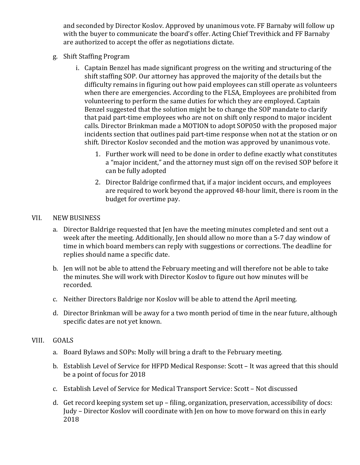and seconded by Director Koslov. Approved by unanimous vote. FF Barnaby will follow up with the buyer to communicate the board's offer. Acting Chief Trevithick and FF Barnaby are authorized to accept the offer as negotiations dictate.

- g. Shift Staffing Program
	- i. Captain Benzel has made significant progress on the writing and structuring of the shift staffing SOP. Our attorney has approved the majority of the details but the difficulty remains in figuring out how paid employees can still operate as volunteers when there are emergencies. According to the FLSA, Employees are prohibited from volunteering to perform the same duties for which they are employed. Captain Benzel suggested that the solution might be to change the SOP mandate to clarify that paid part-time employees who are not on shift only respond to major incident calls. Director Brinkman made a MOTION to adopt SOP050 with the proposed major incidents section that outlines paid part-time response when not at the station or on shift. Director Koslov seconded and the motion was approved by unanimous vote.
		- 1. Further work will need to be done in order to define exactly what constitutes a "major incident," and the attorney must sign off on the revised SOP before it can be fully adopted
		- 2. Director Baldrige confirmed that, if a major incident occurs, and employees are required to work beyond the approved 48-hour limit, there is room in the budget for overtime pay.

#### VII. NEW BUSINESS

- a. Director Baldrige requested that Jen have the meeting minutes completed and sent out a week after the meeting. Additionally, Jen should allow no more than a 5-7 day window of time in which board members can reply with suggestions or corrections. The deadline for replies should name a specific date.
- b. Jen will not be able to attend the February meeting and will therefore not be able to take the minutes. She will work with Director Koslov to figure out how minutes will be recorded.
- c. Neither Directors Baldrige nor Koslov will be able to attend the April meeting.
- d. Director Brinkman will be away for a two month period of time in the near future, although specific dates are not yet known.

#### VIII. GOALS

- a. Board Bylaws and SOPs: Molly will bring a draft to the February meeting.
- b. Establish Level of Service for HFPD Medical Response: Scott It was agreed that this should be a point of focus for 2018
- c. Establish Level of Service for Medical Transport Service: Scott Not discussed
- d. Get record keeping system set up filing, organization, preservation, accessibility of docs: Judy - Director Koslov will coordinate with Jen on how to move forward on this in early 2018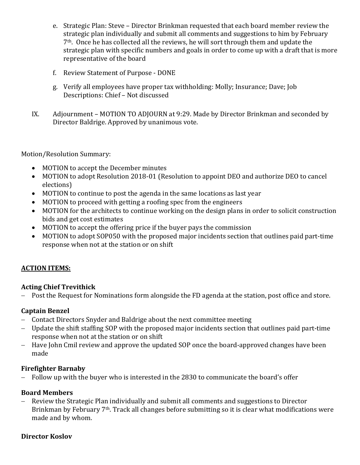- e. Strategic Plan: Steve Director Brinkman requested that each board member review the strategic plan individually and submit all comments and suggestions to him by February  $7<sup>th</sup>$ . Once he has collected all the reviews, he will sort through them and update the strategic plan with specific numbers and goals in order to come up with a draft that is more representative of the board
- f. Review Statement of Purpose DONE
- g. Verify all employees have proper tax withholding: Molly; Insurance; Dave; Job Descriptions: Chief - Not discussed
- IX. Adjournment MOTION TO ADJOURN at 9:29. Made by Director Brinkman and seconded by Director Baldrige. Approved by unanimous vote.

Motion/Resolution Summary:

- MOTION to accept the December minutes
- MOTION to adopt Resolution 2018-01 (Resolution to appoint DEO and authorize DEO to cancel elections)
- MOTION to continue to post the agenda in the same locations as last year
- MOTION to proceed with getting a roofing spec from the engineers
- MOTION for the architects to continue working on the design plans in order to solicit construction bids and get cost estimates
- MOTION to accept the offering price if the buyer pays the commission
- MOTION to adopt SOP050 with the proposed major incidents section that outlines paid part-time response when not at the station or on shift

## **ACTION ITEMS:**

## **Acting Chief Trevithick**

- Post the Request for Nominations form alongside the FD agenda at the station, post office and store.

## **Captain Benzel**

- Contact Directors Snyder and Baldrige about the next committee meeting
- Update the shift staffing SOP with the proposed major incidents section that outlines paid part-time response when not at the station or on shift
- Have John Cmil review and approve the updated SOP once the board-approved changes have been made

## **Firefighter Barnaby**

- Follow up with the buyer who is interested in the 2830 to communicate the board's offer

## **Board Members**

- Review the Strategic Plan individually and submit all comments and suggestions to Director Brinkman by February  $7<sup>th</sup>$ . Track all changes before submitting so it is clear what modifications were made and by whom.

## **Director Koslov**